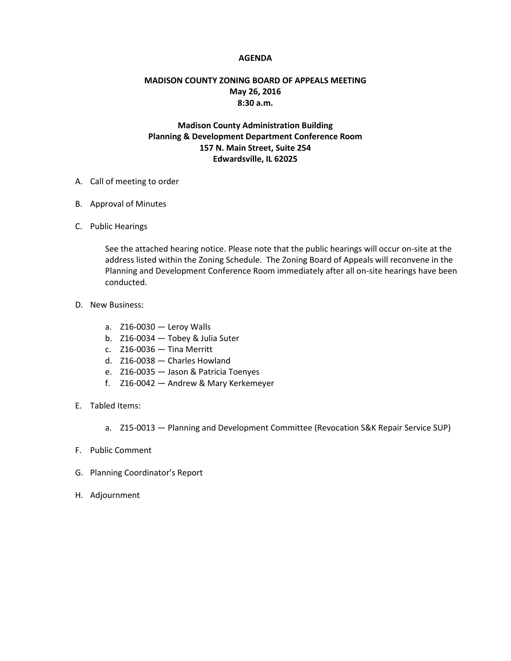## **AGENDA**

## **MADISON COUNTY ZONING BOARD OF APPEALS MEETING May 26, 2016 8:30 a.m.**

## **Madison County Administration Building Planning & Development Department Conference Room 157 N. Main Street, Suite 254 Edwardsville, IL 62025**

- A. Call of meeting to order
- B. Approval of Minutes
- C. Public Hearings

See the attached hearing notice. Please note that the public hearings will occur on-site at the address listed within the Zoning Schedule. The Zoning Board of Appeals will reconvene in the Planning and Development Conference Room immediately after all on-site hearings have been conducted.

- D. New Business:
	- a. Z16-0030 Leroy Walls
	- b. Z16-0034 Tobey & Julia Suter
	- c. Z16-0036 Tina Merritt
	- d. Z16-0038 Charles Howland
	- e. Z16-0035 Jason & Patricia Toenyes
	- f. Z16-0042 Andrew & Mary Kerkemeyer
- E. Tabled Items:
	- a. Z15-0013 Planning and Development Committee (Revocation S&K Repair Service SUP)
- F. Public Comment
- G. Planning Coordinator's Report
- H. Adjournment